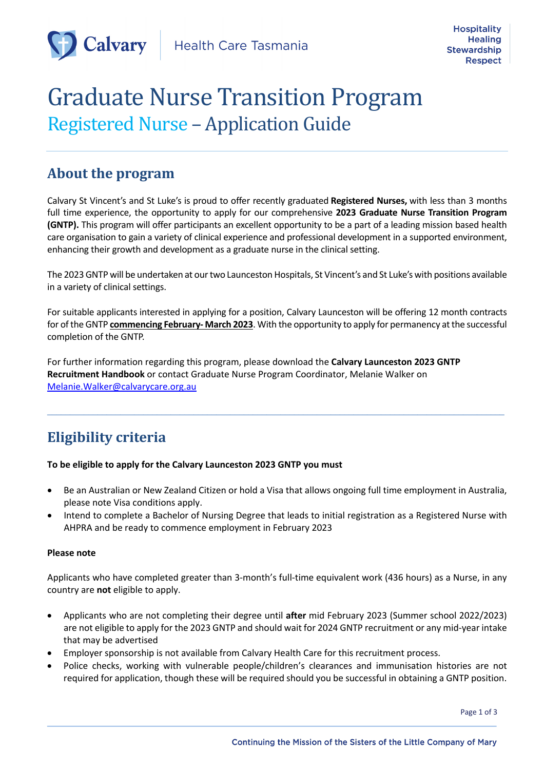

# **Graduate Nurse Transition Program** Registered Nurse – Application Guide

### **About the program**

Calvary St Vincent's and St Luke's is proud to offer recently graduated **Registered Nurses,** with less than 3 months full time experience, the opportunity to apply for our comprehensive **2023 Graduate Nurse Transition Program (GNTP).** This program will offer participants an excellent opportunity to be a part of a leading mission based health care organisation to gain a variety of clinical experience and professional development in a supported environment, enhancing their growth and development as a graduate nurse in the clinical setting.

The 2023GNTP will be undertaken at our two Launceston Hospitals, St Vincent's and St Luke's with positions available in a variety of clinical settings.

For suitable applicants interested in applying for a position, Calvary Launceston will be offering 12 month contracts for of the GNTP **commencing February- March 2023**. With the opportunity to apply for permanency at the successful completion of the GNTP.

For further information regarding this program, please download the **Calvary Launceston 2023 GNTP Recruitment Handbook** or contact Graduate Nurse Program Coordinator, Melanie Walker on Melanie.Walker@calvarycare.org.au

## **Eligibility criteria**

#### **To be eligible to apply for the Calvary Launceston 2023 GNTP you must**

• Be an Australian or New Zealand Citizen or hold a Visa that allows ongoing full time employment in Australia, please note Visa conditions apply.

 $\mathcal{L}_\mathcal{L} = \mathcal{L}_\mathcal{L}$ 

• Intend to complete a Bachelor of Nursing Degree that leads to initial registration as a Registered Nurse with AHPRA and be ready to commence employment in February 2023

#### **Please note**

Applicants who have completed greater than 3-month's full-time equivalent work (436 hours) as a Nurse, in any country are **not** eligible to apply.

- Applicants who are not completing their degree until **after** mid February 2023 (Summer school 2022/2023) are not eligible to apply for the 2023 GNTP and should wait for 2024 GNTP recruitment or any mid-year intake that may be advertised
- Employer sponsorship is not available from Calvary Health Care for this recruitment process.
- Police checks, working with vulnerable people/children's clearances and immunisation histories are not required for application, though these will be required should you be successful in obtaining a GNTP position.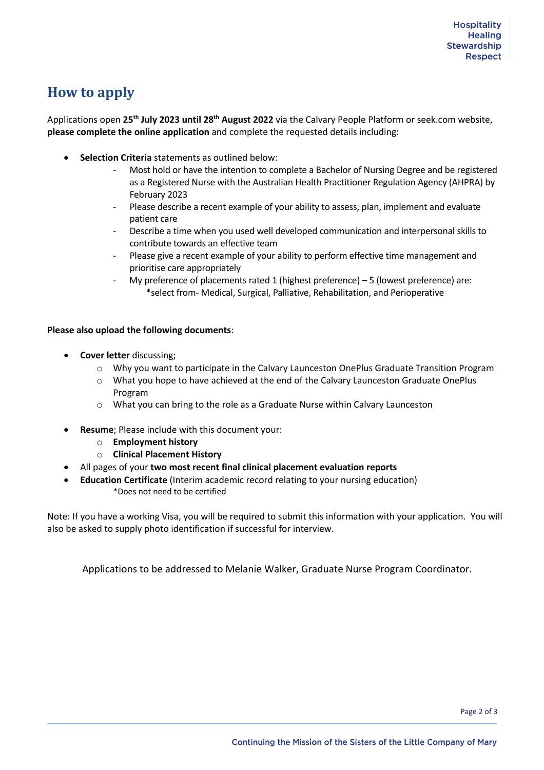### **How to apply**

Applications open **25th July 2023 until 28th August 2022** via the Calvary People Platform or seek.com website, **please complete the online application** and complete the requested details including:

- **Selection Criteria** statements as outlined below:
	- Most hold or have the intention to complete a Bachelor of Nursing Degree and be registered as a Registered Nurse with the Australian Health Practitioner Regulation Agency (AHPRA) by February 2023
	- Please describe a recent example of your ability to assess, plan, implement and evaluate patient care
	- Describe a time when you used well developed communication and interpersonal skills to contribute towards an effective team
	- Please give a recent example of your ability to perform effective time management and prioritise care appropriately
	- My preference of placements rated 1 (highest preference) 5 (lowest preference) are: \*select from- Medical, Surgical, Palliative, Rehabilitation, and Perioperative

#### **Please also upload the following documents**:

- **Cover letter** discussing;
	- o Why you want to participate in the Calvary Launceston OnePlus Graduate Transition Program
	- o What you hope to have achieved at the end of the Calvary Launceston Graduate OnePlus Program
	- o What you can bring to the role as a Graduate Nurse within Calvary Launceston
- **Resume**; Please include with this document your:
	- o **Employment history**
	- o **Clinical Placement History**
- All pages of your **two most recent final clinical placement evaluation reports**
- **Education Certificate** (Interim academic record relating to your nursing education) \*Does not need to be certified

Note: If you have a working Visa, you will be required to submit this information with your application. You will also be asked to supply photo identification if successful for interview.

Applications to be addressed to Melanie Walker, Graduate Nurse Program Coordinator.